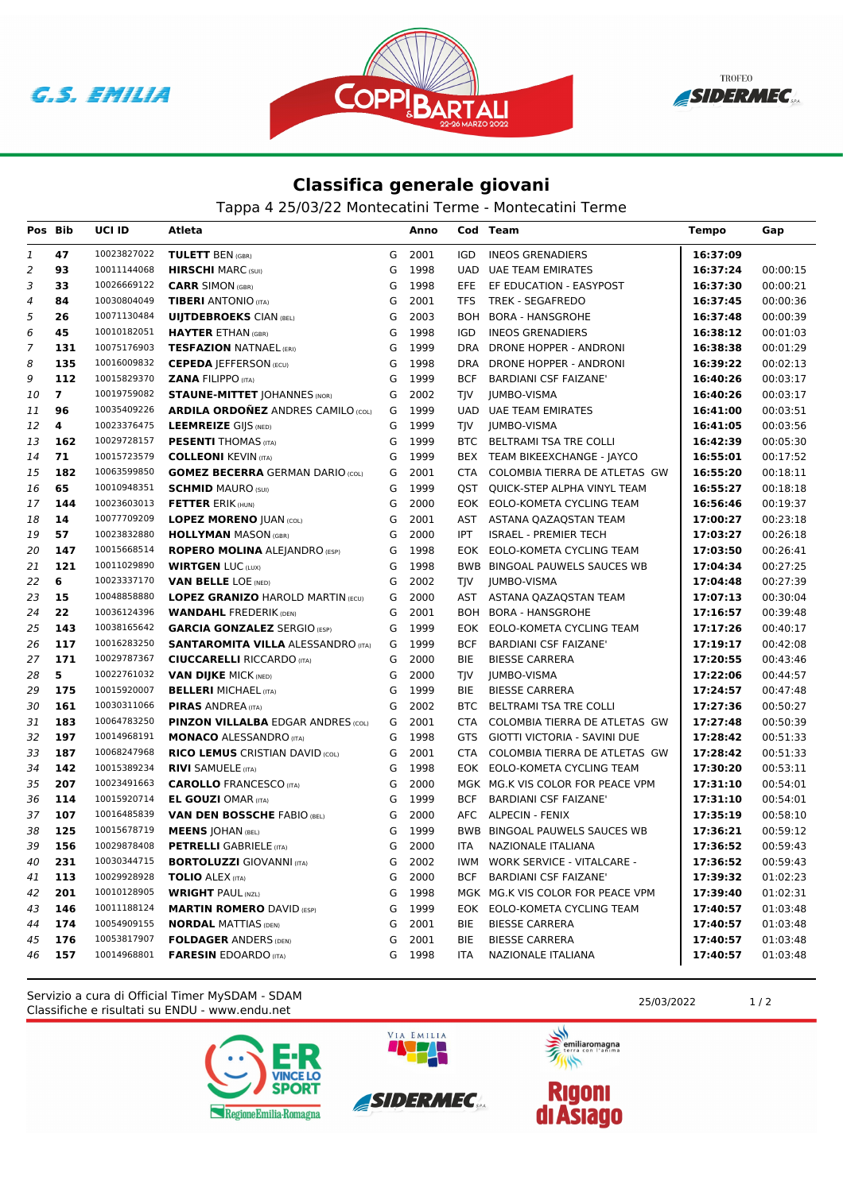





## **Classifica generale giovani**

Tappa 4 25/03/22 Montecatini Terme - Montecatini Terme

| Pos Bib  |                | UCI ID                     | Atleta                                                                 |        | Anno         |            | Cod Team                                                       | <b>Tempo</b>         | Gap                  |
|----------|----------------|----------------------------|------------------------------------------------------------------------|--------|--------------|------------|----------------------------------------------------------------|----------------------|----------------------|
| 1        | 47             | 10023827022                | <b>TULETT BEN (GBR)</b>                                                | G      | 2001         | IGD        | <b>INEOS GRENADIERS</b>                                        | 16:37:09             |                      |
| 2        | 93             | 10011144068                | <b>HIRSCHI</b> MARC (SUI)                                              | G      | 1998         | <b>UAD</b> | <b>UAE TEAM EMIRATES</b>                                       | 16:37:24             | 00:00:15             |
| 3        | 33             | 10026669122                | <b>CARR SIMON (GBR)</b>                                                | G      | 1998         | EFE.       | EF EDUCATION - EASYPOST                                        | 16:37:30             | 00:00:21             |
| 4        | 84             | 10030804049                | <b>TIBERI</b> ANTONIO (ITA)                                            | G      | 2001         | TFS        | TREK - SEGAFREDO                                               | 16:37:45             | 00:00:36             |
| 5        | 26             | 10071130484                | <b>UIJTDEBROEKS CIAN (BEL)</b>                                         | G      | 2003         | <b>BOH</b> | BORA - HANSGROHE                                               | 16:37:48             | 00:00:39             |
| 6        | 45             | 10010182051                | <b>HAYTER ETHAN (GBR)</b>                                              | G      | 1998         | <b>IGD</b> | <b>INEOS GRENADIERS</b>                                        | 16:38:12             | 00:01:03             |
| 7        | 131            | 10075176903                | <b>TESFAZION NATNAEL (ERI)</b>                                         | G      | 1999         | <b>DRA</b> | DRONE HOPPER - ANDRONI                                         | 16:38:38             | 00:01:29             |
| 8        | 135            | 10016009832                | <b>CEPEDA JEFFERSON (ECU)</b>                                          | G      | 1998         | <b>DRA</b> | DRONE HOPPER - ANDRONI                                         | 16:39:22             | 00:02:13             |
| 9        | 112            | 10015829370                | <b>ZANA FILIPPO (ITA)</b>                                              | G      | 1999         | <b>BCF</b> | <b>BARDIANI CSF FAIZANE'</b>                                   | 16:40:26             | 00:03:17             |
| 10       | $\overline{7}$ | 10019759082                | <b>STAUNE-MITTET JOHANNES (NOR)</b>                                    | G      | 2002         | TJV        | <b>JUMBO-VISMA</b>                                             | 16:40:26             | 00:03:17             |
| 11       | 96             | 10035409226                | <b>ARDILA ORDONEZ ANDRES CAMILO (COL)</b>                              | G      | 1999         | UAD        | <b>UAE TEAM EMIRATES</b>                                       | 16:41:00             | 00:03:51             |
| 12       | 4              | 10023376475                | <b>LEEMREIZE GIJS (NED)</b>                                            | G      | 1999         | <b>TIV</b> | JUMBO-VISMA                                                    | 16:41:05             | 00:03:56             |
| 13       | 162            | 10029728157                | <b>PESENTI</b> THOMAS (ITA)                                            | G      | 1999         | BTC        | BELTRAMI TSA TRE COLLI                                         | 16:42:39             | 00:05:30             |
| 14       | 71             | 10015723579                | <b>COLLEONI KEVIN (ITA)</b>                                            | G      | 1999         | BEX        | TEAM BIKEEXCHANGE - JAYCO                                      | 16:55:01             | 00:17:52             |
| 15       | 182            | 10063599850                | <b>GOMEZ BECERRA GERMAN DARIO (COL)</b>                                | G      | 2001         | CTA        | COLOMBIA TIERRA DE ATLETAS GW                                  | 16:55:20             | 00:18:11             |
| 16       | 65             | 10010948351                | <b>SCHMID MAURO (SUI)</b>                                              | G      | 1999         | QST        | QUICK-STEP ALPHA VINYL TEAM                                    | 16:55:27             | 00:18:18             |
| 17       | 144            | 10023603013                | <b>FETTER ERIK (HUN)</b>                                               | G      | 2000         |            | EOK EOLO-KOMETA CYCLING TEAM                                   | 16:56:46             | 00:19:37             |
| 18       | 14             | 10077709209                | <b>LOPEZ MORENO  UAN (COL)</b>                                         | G      | 2001         |            | AST ASTANA QAZAQSTAN TEAM                                      | 17:00:27             | 00:23:18             |
| 19       | 57             | 10023832880                | <b>HOLLYMAN MASON (GBR)</b>                                            | G      | 2000         | IPT        | <b>ISRAEL - PREMIER TECH</b>                                   | 17:03:27             | 00:26:18             |
| 20       | 147            | 10015668514                | <b>ROPERO MOLINA ALEJANDRO (ESP)</b>                                   | G      | 1998         |            | EOK EOLO-KOMETA CYCLING TEAM                                   | 17:03:50             | 00:26:41             |
| 21       | 121            | 10011029890                | <b>WIRTGEN LUC (LUX)</b>                                               | G      | 1998         |            | <b>BWB BINGOAL PAUWELS SAUCES WB</b>                           | 17:04:34             | 00:27:25             |
| 22       | 6              | 10023337170                | <b>VAN BELLE LOE (NED)</b>                                             | G      | 2002         | TJV        | JUMBO-VISMA                                                    | 17:04:48             | 00:27:39             |
| 23       | 15             | 10048858880                | <b>LOPEZ GRANIZO HAROLD MARTIN (ECU)</b>                               | G      | 2000         | AST        | ASTANA QAZAQSTAN TEAM                                          | 17:07:13             | 00:30:04             |
| 24       | 22             | 10036124396                | <b>WANDAHL FREDERIK (DEN)</b>                                          | G      | 2001         |            | <b>BOH BORA - HANSGROHE</b>                                    | 17:16:57             | 00:39:48             |
| 25       | 143            | 10038165642                | <b>GARCIA GONZALEZ SERGIO (ESP)</b>                                    | G      | 1999         |            | EOK EOLO-KOMETA CYCLING TEAM                                   | 17:17:26             | 00:40:17             |
| 26       | 117            | 10016283250                | <b>SANTAROMITA VILLA ALESSANDRO (ITA)</b>                              | G      | 1999         | <b>BCF</b> | <b>BARDIANI CSF FAIZANE'</b>                                   | 17:19:17             | 00:42:08             |
| 27       | 171            | 10029787367                | <b>CIUCCARELLI RICCARDO (ITA)</b>                                      | G      | 2000         | <b>BIE</b> | <b>BIESSE CARRERA</b>                                          | 17:20:55             | 00:43:46             |
| 28       | 5              | 10022761032<br>10015920007 | <b>VAN DIJKE MICK (NED)</b>                                            | G      | 2000         | TJV        | JUMBO-VISMA                                                    | 17:22:06             | 00:44:57             |
| 29       | 175<br>161     | 10030311066                | <b>BELLERI MICHAEL (ITA)</b>                                           | G<br>G | 1999<br>2002 | BIE<br>BTC | <b>BIESSE CARRERA</b>                                          | 17:24:57<br>17:27:36 | 00:47:48<br>00:50:27 |
| 30<br>31 | 183            | 10064783250                | <b>PIRAS ANDREA</b> (ITA)<br><b>PINZON VILLALBA EDGAR ANDRES (COL)</b> | G      | 2001         | <b>CTA</b> | <b>BELTRAMI TSA TRE COLLI</b><br>COLOMBIA TIERRA DE ATLETAS GW | 17:27:48             | 00:50:39             |
| 32       | 197            | 10014968191                | <b>MONACO ALESSANDRO (ITA)</b>                                         | G      | 1998         | GTS        | GIOTTI VICTORIA - SAVINI DUE                                   | 17:28:42             | 00:51:33             |
| 33       | 187            | 10068247968                | <b>RICO LEMUS CRISTIAN DAVID (COL)</b>                                 | G      | 2001         | CTA        | COLOMBIA TIERRA DE ATLETAS GW                                  | 17:28:42             | 00:51:33             |
| 34       | 142            | 10015389234                | <b>RIVI SAMUELE (ITA)</b>                                              | G      | 1998         |            | EOK EOLO-KOMETA CYCLING TEAM                                   | 17:30:20             | 00:53:11             |
| 35       | 207            | 10023491663                | <b>CAROLLO</b> FRANCESCO (ITA)                                         | G      | 2000         |            | MGK MG.K VIS COLOR FOR PEACE VPM                               | 17:31:10             | 00:54:01             |
| 36       | 114            | 10015920714                | <b>EL GOUZI OMAR (ITA)</b>                                             | G      | 1999         | <b>BCF</b> | <b>BARDIANI CSF FAIZANE'</b>                                   | 17:31:10             | 00:54:01             |
| 37       | 107            | 10016485839                | <b>VAN DEN BOSSCHE FABIO (BEL)</b>                                     | G      | 2000         |            | AFC ALPECIN - FENIX                                            | 17:35:19             | 00:58:10             |
| 38       | 125            | 10015678719                | <b>MEENS   OHAN (BEL)</b>                                              | G      | 1999         |            | BWB BINGOAL PAUWELS SAUCES WB                                  | 17:36:21             | 00:59:12             |
| 39       | 156            | 10029878408                | <b>PETRELLI</b> GABRIELE (ITA)                                         | G      | 2000         | <b>ITA</b> | NAZIONALE ITALIANA                                             | 17:36:52             | 00:59:43             |
| 40       | 231            | 10030344715                | <b>BORTOLUZZI</b> GIOVANNI (ITA)                                       | G      | 2002         |            | IWM WORK SERVICE - VITALCARE -                                 | 17:36:52             | 00:59:43             |
| 41       | 113            | 10029928928                | <b>TOLIO ALEX (ITA)</b>                                                | G      | 2000         |            | BCF BARDIANI CSF FAIZANE'                                      | 17:39:32             | 01:02:23             |
| 42       | 201            | 10010128905                | <b>WRIGHT PAUL (NZL)</b>                                               | G      | 1998         |            | MGK MG.K VIS COLOR FOR PEACE VPM                               | 17:39:40             | 01:02:31             |
| 43       | 146            | 10011188124                | <b>MARTIN ROMERO DAVID (ESP)</b>                                       | G      | 1999         |            | EOK EOLO-KOMETA CYCLING TEAM                                   | 17:40:57             | 01:03:48             |
| 44       | 174            | 10054909155                | <b>NORDAL MATTIAS (DEN)</b>                                            | G      | 2001         | BIE        | <b>BIESSE CARRERA</b>                                          | 17:40:57             | 01:03:48             |
| 45       | 176            | 10053817907                | <b>FOLDAGER ANDERS (DEN)</b>                                           | G      | 2001         | BIE        | <b>BIESSE CARRERA</b>                                          | 17:40:57             | 01:03:48             |
| 46       | 157            | 10014968801                | <b>FARESIN EDOARDO (ITA)</b>                                           |        | G 1998       | ITA        | NAZIONALE ITALIANA                                             | 17:40:57             | 01:03:48             |
|          |                |                            |                                                                        |        |              |            |                                                                |                      |                      |

Classifiche e risultati su ENDU - www.endu.net Servizio a cura di Official Timer MySDAM - SDAM 25/03/2022 2003/2022 1/2





VIA EMILIA

美元 emiliaromagna

 $\overline{\mathscr{C}}$ 

**Rigoni<br>di Asiago**